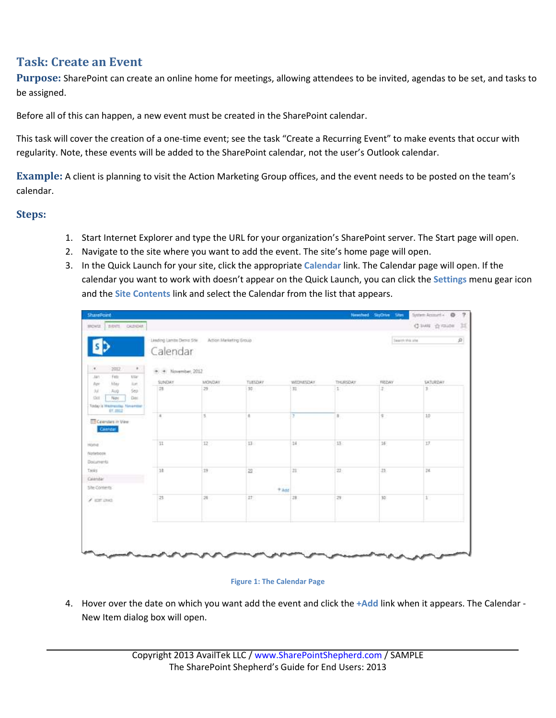## **Task: Create an Event**

**Purpose:** SharePoint can create an online home for meetings, allowing attendees to be invited, agendas to be set, and tasks to be assigned.

Before all of this can happen, a new event must be created in the SharePoint calendar.

This task will cover the creation of a one-time event; see the task "Create a Recurring Event" to make events that occur with regularity. Note, these events will be added to the SharePoint calendar, not the user's Outlook calendar.

**Example:** A client is planning to visit the Action Marketing Group offices, and the event needs to be posted on the team's calendar.

## **Steps:**

- 1. Start Internet Explorer and type the URL for your organization's SharePoint server. The Start page will open.
- 2. Navigate to the site where you want to add the event. The site's home page will open.
- 3. In the Quick Launch for your site, click the appropriate **Calendar** link. The Calendar page will open. If the calendar you want to work with doesn't appear on the Quick Launch, you can click the **Settings** menu gear icon and the **Site Contents** link and select the Calendar from the list that appears.

| BIBITI CALINDAR<br>SIQUEL.<br>Linding Lambs Denis Site<br>Artion Marketing Group<br>Calendar<br>$\ddot{\phantom{1}}$<br>$\alpha$<br>2012<br>+ + November, 2012<br>Fett<br>Wie<br>MN<br>SUNDAY<br><b>MONDAY</b><br>TUESDAY<br>WEDNESDAY<br>THURSDAY.<br>May<br><b>Just</b><br>Rol<br>29<br>31<br>$\sim$<br>28<br>$35 -$<br>Seir<br>Aug<br>$3.6$<br>Nov<br><b>SHI</b><br>Dec.<br>Today is Westmassler, Newember<br><b>\$7,000.0</b><br>5<br>Ŧ<br>$\mathbb{R}$ .<br>a.<br>× | Search Mill Jihe<br>FIELDAY<br>动 | Clives chronic III<br>P.<br><b>SATURDAY</b> |
|--------------------------------------------------------------------------------------------------------------------------------------------------------------------------------------------------------------------------------------------------------------------------------------------------------------------------------------------------------------------------------------------------------------------------------------------------------------------------|----------------------------------|---------------------------------------------|
|                                                                                                                                                                                                                                                                                                                                                                                                                                                                          |                                  |                                             |
|                                                                                                                                                                                                                                                                                                                                                                                                                                                                          |                                  |                                             |
|                                                                                                                                                                                                                                                                                                                                                                                                                                                                          |                                  |                                             |
|                                                                                                                                                                                                                                                                                                                                                                                                                                                                          |                                  | $\mathbbm{1}$                               |
| <b>ED Celendars</b> in View<br>Calendar                                                                                                                                                                                                                                                                                                                                                                                                                                  | \$                               | 10                                          |
| $12\,$<br>13<br>14<br>$13 -$<br>11<br>Home.<br>Notebook<br>Documents:                                                                                                                                                                                                                                                                                                                                                                                                    | $16 -$                           | IZ.                                         |
| Tasks<br>19<br>$-18$<br>図<br>21<br>22<br>Calendar<br><b>CASTE</b><br>Site-Contents<br>$+$ $\lambda$ dd                                                                                                                                                                                                                                                                                                                                                                   | 21                               | 36                                          |
| 26<br>28<br>25<br>27.<br>芽<br>$\angle$ mm lines.<br>$\pi \sqrt{2}$ many                                                                                                                                                                                                                                                                                                                                                                                                  | 30                               | $1^{\prime}$                                |

## **Figure 1: The Calendar Page**

4. Hover over the date on which you want add the event and click the **+Add** link when it appears. The Calendar - New Item dialog box will open.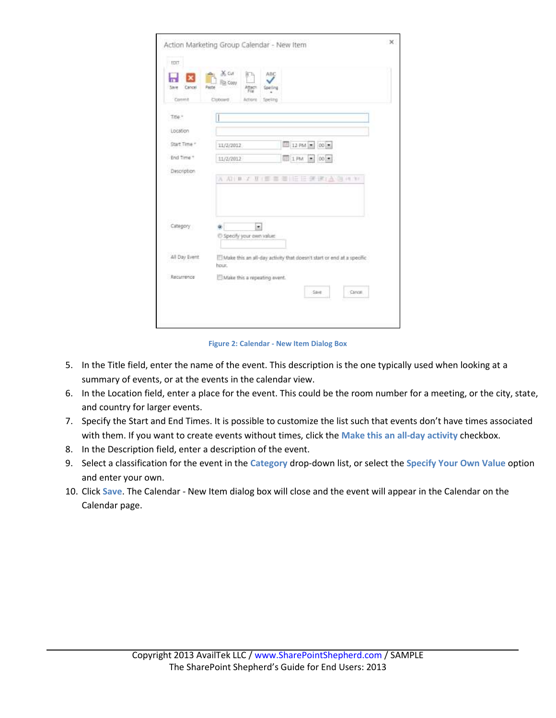| Save<br>Cancel              | X Cut<br>ABC<br>874<br>Fig. Copy<br>Pásta<br>Attacts<br>Speling                |
|-----------------------------|--------------------------------------------------------------------------------|
| Commit                      | Cipbcard<br>Actions<br>Speling                                                 |
| Title "                     |                                                                                |
| Location                    |                                                                                |
| Start Time."                | 12 PM - 00 -<br>11/2/2012                                                      |
| End Time *                  | 图 1PM 图 00-<br>11/2/2012                                                       |
| Description                 | 日田 第 ま 」 入 例 # 10<br>A 和 # 2 耳   三<br>$\overline{\phantom{a}}$<br>≖            |
| Category                    | a.<br>$\overline{ }$<br>C Specify your own value:                              |
|                             |                                                                                |
|                             | Make this an all-day activity that doesn't start or end at a specific<br>hour. |
| All Day Event<br>Recurrence | Make this a repeating event.                                                   |

**Figure 2: Calendar - New Item Dialog Box**

- 5. In the Title field, enter the name of the event. This description is the one typically used when looking at a summary of events, or at the events in the calendar view.
- 6. In the Location field, enter a place for the event. This could be the room number for a meeting, or the city, state, and country for larger events.
- 7. Specify the Start and End Times. It is possible to customize the list such that events don't have times associated with them. If you want to create events without times, click the **Make this an all-day activity** checkbox.
- 8. In the Description field, enter a description of the event.
- 9. Select a classification for the event in the **Category** drop-down list, or select the **Specify Your Own Value** option and enter your own.
- 10. Click **Save**. The Calendar New Item dialog box will close and the event will appear in the Calendar on the Calendar page.